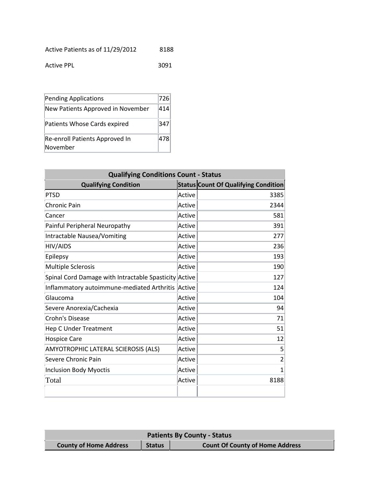| Active Patients as of 11/29/2012 |  |  | 8188 |
|----------------------------------|--|--|------|
|----------------------------------|--|--|------|

| <b>Active PPL</b> | 3091 |
|-------------------|------|
|                   |      |

| Pending Applications                       |     |
|--------------------------------------------|-----|
| New Patients Approved in November          | 414 |
| Patients Whose Cards expired               |     |
| Re-enroll Patients Approved In<br>November |     |

| <b>Qualifying Conditions Count - Status</b>           |        |                                             |  |
|-------------------------------------------------------|--------|---------------------------------------------|--|
| <b>Qualifying Condition</b>                           |        | <b>Status Count Of Qualifying Condition</b> |  |
| <b>PTSD</b>                                           | Active | 3385                                        |  |
| <b>Chronic Pain</b>                                   | Active | 2344                                        |  |
| Cancer                                                | Active | 581                                         |  |
| Painful Peripheral Neuropathy                         | Active | 391                                         |  |
| <b>Intractable Nausea/Vomiting</b>                    | Active | 277                                         |  |
| HIV/AIDS                                              | Active | 236                                         |  |
| Epilepsy                                              | Active | 193                                         |  |
| <b>Multiple Sclerosis</b>                             | Active | 190                                         |  |
| Spinal Cord Damage with Intractable Spasticity Active |        | 127                                         |  |
| Inflammatory autoimmune-mediated Arthritis            | Active | 124                                         |  |
| Glaucoma                                              | Active | 104                                         |  |
| Severe Anorexia/Cachexia                              | Active | 94                                          |  |
| Crohn's Disease                                       | Active | 71                                          |  |
| <b>Hep C Under Treatment</b>                          | Active | 51                                          |  |
| <b>Hospice Care</b>                                   | Active | 12                                          |  |
| AMYOTROPHIC LATERAL SCIEROSIS (ALS)                   | Active | 5                                           |  |
| Severe Chronic Pain                                   | Active | $\overline{2}$                              |  |
| <b>Inclusion Body Myoctis</b>                         | Active | $\overline{1}$                              |  |
| Total                                                 | Active | 8188                                        |  |
|                                                       |        |                                             |  |

| <b>Patients By County - Status</b> |               |                                        |
|------------------------------------|---------------|----------------------------------------|
| <b>County of Home Address</b>      | <b>Status</b> | <b>Count Of County of Home Address</b> |